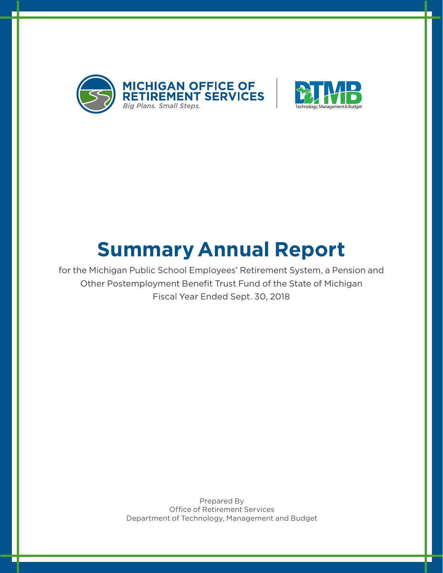



# **Summary Annual Report**

for the Michigan Public School Employees' Retirement System, a Pension and Other Postemployment Benefit Trust Fund of the State of Michigan Fiscal Year Ended Sept. 30, 2018

> Prepared By Office of Retirement Services Department of Technology, Management and Budget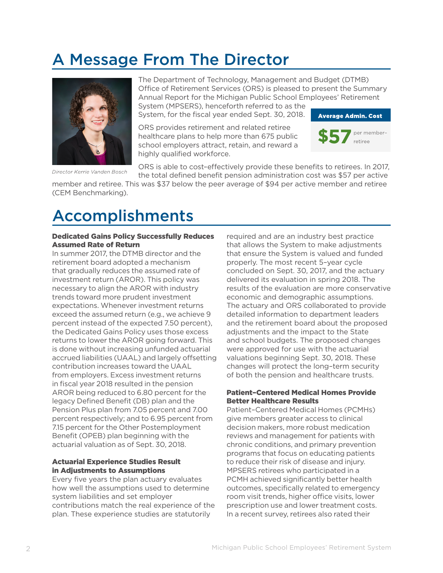### A Message From The Director



Director Kerrie Vanden Bosch

The Department of Technology, Management and Budget (DTMB) Office of Retirement Services (ORS) is pleased to present the Summary Annual Report for the Michigan Public School Employees' Retirement System (MPSERS), henceforth referred to as the

System, for the fiscal year ended Sept. 30, 2018.

ORS provides retirement and related retiree healthcare plans to help more than 675 public school employers attract, retain, and reward a highly qualified workforce.



ORS is able to cost–effectively provide these benefits to retirees. In 2017, the total defined benefit pension administration cost was \$57 per active

member and retiree. This was \$37 below the peer average of \$94 per active member and retiree (CEM Benchmarking).

### Accomplishments

#### Dedicated Gains Policy Successfully Reduces Assumed Rate of Return

In summer 2017, the DTMB director and the retirement board adopted a mechanism that gradually reduces the assumed rate of investment return (AROR). This policy was necessary to align the AROR with industry trends toward more prudent investment expectations. Whenever investment returns exceed the assumed return (e.g., we achieve 9 percent instead of the expected 7.50 percent), the Dedicated Gains Policy uses those excess returns to lower the AROR going forward. This is done without increasing unfunded actuarial accrued liabilities (UAAL) and largely offsetting contribution increases toward the UAAL from employers. Excess investment returns in fiscal year 2018 resulted in the pension AROR being reduced to 6.80 percent for the legacy Defined Benefit (DB) plan and the Pension Plus plan from 7.05 percent and 7.00 percent respectively; and to 6.95 percent from 7.15 percent for the Other Postemployment Benefit (OPEB) plan beginning with the actuarial valuation as of Sept. 30, 2018.

#### Actuarial Experience Studies Result in Adjustments to Assumptions

Every five years the plan actuary evaluates how well the assumptions used to determine system liabilities and set employer contributions match the real experience of the plan. These experience studies are statutorily

required and are an industry best practice that allows the System to make adjustments that ensure the System is valued and funded properly. The most recent 5–year cycle concluded on Sept. 30, 2017, and the actuary delivered its evaluation in spring 2018. The results of the evaluation are more conservative economic and demographic assumptions. The actuary and ORS collaborated to provide detailed information to department leaders and the retirement board about the proposed adjustments and the impact to the State and school budgets. The proposed changes were approved for use with the actuarial valuations beginning Sept. 30, 2018. These changes will protect the long–term security of both the pension and healthcare trusts.

#### Patient–Centered Medical Homes Provide Better Healthcare Results

Patient–Centered Medical Homes (PCMHs) give members greater access to clinical decision makers, more robust medication reviews and management for patients with chronic conditions, and primary prevention programs that focus on educating patients to reduce their risk of disease and injury. MPSERS retirees who participated in a PCMH achieved significantly better health outcomes, specifically related to emergency room visit trends, higher office visits, lower prescription use and lower treatment costs. In a recent survey, retirees also rated their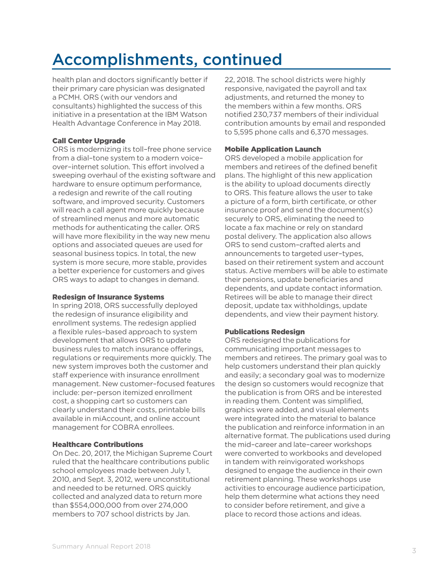## Accomplishments, continued

health plan and doctors significantly better if their primary care physician was designated a PCMH. ORS (with our vendors and consultants) highlighted the success of this initiative in a presentation at the IBM Watson Health Advantage Conference in May 2018.

#### Call Center Upgrade

ORS is modernizing its toll–free phone service from a dial–tone system to a modern voice– over–internet solution. This effort involved a sweeping overhaul of the existing software and hardware to ensure optimum performance, a redesign and rewrite of the call routing software, and improved security. Customers will reach a call agent more quickly because of streamlined menus and more automatic methods for authenticating the caller. ORS will have more flexibility in the way new menu options and associated queues are used for seasonal business topics. In total, the new system is more secure, more stable, provides a better experience for customers and gives ORS ways to adapt to changes in demand.

#### Redesign of Insurance Systems

In spring 2018, ORS successfully deployed the redesign of insurance eligibility and enrollment systems. The redesign applied a flexible rules–based approach to system development that allows ORS to update business rules to match insurance offerings, regulations or requirements more quickly. The new system improves both the customer and staff experience with insurance enrollment management. New customer–focused features include: per–person itemized enrollment cost, a shopping cart so customers can clearly understand their costs, printable bills available in miAccount, and online account management for COBRA enrollees.

#### Healthcare Contributions

On Dec. 20, 2017, the Michigan Supreme Court ruled that the healthcare contributions public school employees made between July 1, 2010, and Sept. 3, 2012, were unconstitutional and needed to be returned. ORS quickly collected and analyzed data to return more than \$554,000,000 from over 274,000 members to 707 school districts by Jan.

22, 2018. The school districts were highly responsive, navigated the payroll and tax adjustments, and returned the money to the members within a few months. ORS notified 230,737 members of their individual contribution amounts by email and responded to 5,595 phone calls and 6,370 messages.

#### Mobile Application Launch

ORS developed a mobile application for members and retirees of the defined benefit plans. The highlight of this new application is the ability to upload documents directly to ORS. This feature allows the user to take a picture of a form, birth certificate, or other insurance proof and send the document(s) securely to ORS, eliminating the need to locate a fax machine or rely on standard postal delivery. The application also allows ORS to send custom–crafted alerts and announcements to targeted user–types, based on their retirement system and account status. Active members will be able to estimate their pensions, update beneficiaries and dependents, and update contact information. Retirees will be able to manage their direct deposit, update tax withholdings, update dependents, and view their payment history.

#### Publications Redesign

ORS redesigned the publications for communicating important messages to members and retirees. The primary goal was to help customers understand their plan quickly and easily; a secondary goal was to modernize the design so customers would recognize that the publication is from ORS and be interested in reading them. Content was simplified, graphics were added, and visual elements were integrated into the material to balance the publication and reinforce information in an alternative format. The publications used during the mid–career and late–career workshops were converted to workbooks and developed in tandem with reinvigorated workshops designed to engage the audience in their own retirement planning. These workshops use activities to encourage audience participation, help them determine what actions they need to consider before retirement, and give a place to record those actions and ideas.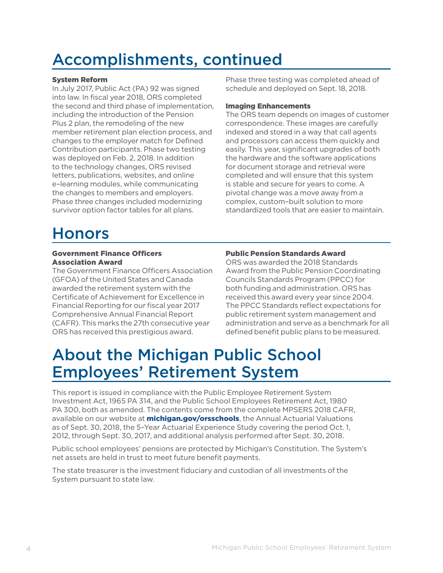### Accomplishments, continued

#### System Reform

In July 2017, Public Act (PA) 92 was signed into law. In fiscal year 2018, ORS completed the second and third phase of implementation, including the introduction of the Pension Plus 2 plan, the remodeling of the new member retirement plan election process, and changes to the employer match for Defined Contribution participants. Phase two testing was deployed on Feb. 2, 2018. In addition to the technology changes, ORS revised letters, publications, websites, and online e–learning modules, while communicating the changes to members and employers. Phase three changes included modernizing survivor option factor tables for all plans.

#### Phase three testing was completed ahead of schedule and deployed on Sept. 18, 2018.

#### Imaging Enhancements

The ORS team depends on images of customer correspondence. These images are carefully indexed and stored in a way that call agents and processors can access them quickly and easily. This year, significant upgrades of both the hardware and the software applications for document storage and retrieval were completed and will ensure that this system is stable and secure for years to come. A pivotal change was a move away from a complex, custom–built solution to more standardized tools that are easier to maintain.

### Honors

#### Government Finance Officers Association Award

The Government Finance Officers Association (GFOA) of the United States and Canada awarded the retirement system with the Certificate of Achievement for Excellence in Financial Reporting for our fiscal year 2017 Comprehensive Annual Financial Report (CAFR). This marks the 27th consecutive year ORS has received this prestigious award.

#### Public Pension Standards Award

ORS was awarded the 2018 Standards Award from the Public Pension Coordinating Councils Standards Program (PPCC) for both funding and administration. ORS has received this award every year since 2004. The PPCC Standards reflect expectations for public retirement system management and administration and serve as a benchmark for all defined benefit public plans to be measured.

### About the Michigan Public School Employees' Retirement System

This report is issued in compliance with the Public Employee Retirement System Investment Act, 1965 PA 314, and the Public School Employees Retirement Act, 1980 PA 300, both as amended. The contents come from the complete MPSERS 2018 CAFR, available on our website at **michigan.gov/orsschools**, the Annual Actuarial Valuations as of Sept. 30, 2018, the 5–Year Actuarial Experience Study covering the period Oct. 1, 2012, through Sept. 30, 2017, and additional analysis performed after Sept. 30, 2018.

Public school employees' pensions are protected by Michigan's Constitution. The System's net assets are held in trust to meet future benefit payments.

The state treasurer is the investment fiduciary and custodian of all investments of the System pursuant to state law.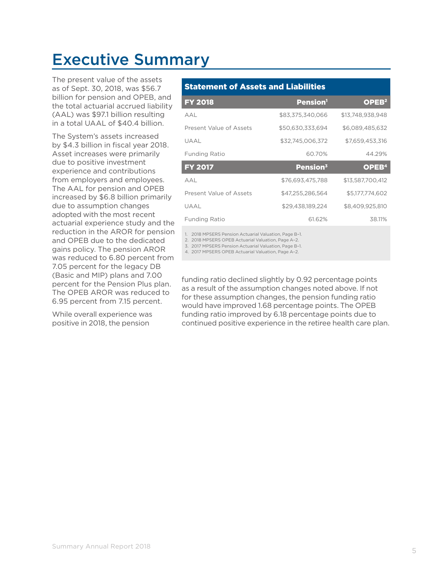### Executive Summary

The present value of the assets as of Sept. 30, 2018, was \$56.7 billion for pension and OPEB, and the total actuarial accrued liability (AAL) was \$97.1 billion resulting in a total UAAL of \$40.4 billion.

The System's assets increased by \$4.3 billion in fiscal year 2018. Asset increases were primarily due to positive investment experience and contributions from employers and employees. The AAL for pension and OPEB increased by \$6.8 billion primarily due to assumption changes adopted with the most recent actuarial experience study and the reduction in the AROR for pension and OPEB due to the dedicated gains policy. The pension AROR was reduced to 6.80 percent from 7.05 percent for the legacy DB (Basic and MIP) plans and 7.00 percent for the Pension Plus plan. The OPEB AROR was reduced to 6.95 percent from 7.15 percent.

While overall experience was positive in 2018, the pension

#### Statement of Assets and Liabilities

| <b>FY 2018</b>          | <b>Pension</b> <sup>1</sup> | OPEB <sup>2</sup> |
|-------------------------|-----------------------------|-------------------|
| AAL                     | \$83.375.340.066            | \$13.748.938.948  |
| Present Value of Assets | \$50,630,333,694            | \$6,089,485,632   |
| UAAL                    | \$32,745,006,372            | \$7,659,453,316   |
| Funding Ratio           | 60.70%                      | 44.29%            |
|                         |                             |                   |
| <b>FY 2017</b>          | Pension <sup>3</sup>        | OPEB <sup>4</sup> |
| AAL                     | \$76,693,475,788            | \$13,587,700,412  |
| Present Value of Assets | \$47,255,286,564            | \$5,177,774,602   |
| UAAL                    | \$29,438,189,224            | \$8,409,925,810   |
| Funding Ratio           | 61.62%                      | 38.11%            |

1. 2018 MPSERS Pension Actuarial Valuation, Page B–1.

2. 2018 MPSERS OPEB Actuarial Valuation, Page A–2.

3. 2017 MPSERS Pension Actuarial Valuation, Page B–1.

4. 2017 MPSERS OPEB Actuarial Valuation, Page A–2.

funding ratio declined slightly by 0.92 percentage points as a result of the assumption changes noted above. If not for these assumption changes, the pension funding ratio would have improved 1.68 percentage points. The OPEB funding ratio improved by 6.18 percentage points due to continued positive experience in the retiree health care plan.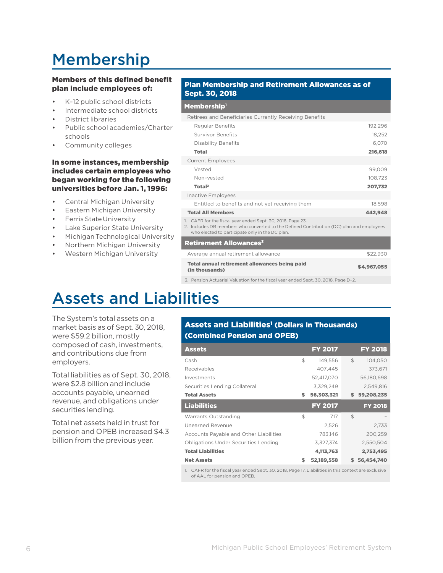## Membership

#### Members of this defined benefit plan include employees of:

- K–12 public school districts
- Intermediate school districts
- District libraries
- Public school academies/Charter schools
- Community colleges

#### In some instances, membership includes certain employees who began working for the following universities before Jan. 1, 1996:

- Central Michigan University
- Eastern Michigan University
- Ferris State University
- **Lake Superior State University**
- Michigan Technological University
- Northern Michigan University
- Western Michigan University

#### Plan Membership and Retirement Allowances as of Sept. 30, 2018

#### Membership<sup>1</sup>

| Retirees and Beneficiaries Currently Receiving Benefits                                                                                                                                                   |             |
|-----------------------------------------------------------------------------------------------------------------------------------------------------------------------------------------------------------|-------------|
| <b>Regular Benefits</b>                                                                                                                                                                                   | 192,296     |
| <b>Survivor Benefits</b>                                                                                                                                                                                  | 18,252      |
| Disability Benefits                                                                                                                                                                                       | 6,070       |
| <b>Total</b>                                                                                                                                                                                              | 216,618     |
| <b>Current Employees</b>                                                                                                                                                                                  |             |
| Vested                                                                                                                                                                                                    | 99,009      |
| Non-vested                                                                                                                                                                                                | 108,723     |
| Total <sup>2</sup>                                                                                                                                                                                        | 207,732     |
| <b>Inactive Employees</b>                                                                                                                                                                                 |             |
| Entitled to benefits and not yet receiving them                                                                                                                                                           | 18.598      |
| <b>Total All Members</b>                                                                                                                                                                                  | 442,948     |
| 1. CAFR for the fiscal year ended Sept. 30, 2018, Page 23.<br>2. Includes DB members who converted to the Defined Contribution (DC) plan and employees<br>who elected to participate only in the DC plan. |             |
| <b>Retirement Allowances<sup>3</sup></b>                                                                                                                                                                  |             |
| Average annual retirement allowance                                                                                                                                                                       | \$22,930    |
| Total annual retirement allowances being paid<br>(in thousands)                                                                                                                                           | \$4,967,055 |

3. Pension Actuarial Valuation for the fiscal year ended Sept. 30, 2018, Page D–2.

### Assets and Liabilities

The System's total assets on a market basis as of Sept.30, 2018, were \$59.2 billion, mostly composed of cash, investments, and contributions due from employers.

Total liabilities as of Sept. 30, 2018, were \$2.8 billion and include accounts payable, unearned revenue, and obligations under securities lending.

Total net assets held in trust for pension and OPEB increased \$4.3 billion from the previous year.

#### Assets and Liabilities<sup>1</sup> (Dollars In Thousands) (Combined Pension and OPEB)

| <b>Assets</b>                               |    | <b>FY 2017</b> |     | <b>FY 2018</b> |
|---------------------------------------------|----|----------------|-----|----------------|
| Cash                                        | \$ | 149,556        | \$  | 104,050        |
| Receivables                                 |    | 407,445        |     | 373,671        |
| Investments                                 |    | 52,417,070     |     | 56,180,698     |
| Securities Lending Collateral               |    | 3.329.249      |     | 2.549.816      |
| <b>Total Assets</b>                         | S  | 56,303,321     | \$. | 59,208,235     |
| <b>Liabilities</b>                          |    | <b>FY 2017</b> |     | <b>FY 2018</b> |
| Warrants Outstanding                        | \$ | 717            | \$  |                |
| Unearned Revenue                            |    | 2.526          |     | 2.733          |
| Accounts Payable and Other Liabilities      |    | 783.146        |     | 200.259        |
| <b>Obligations Under Securities Lending</b> |    | 3.327.374      |     | 2,550,504      |
| <b>Total Liabilities</b>                    |    | 4,113,763      |     | 2,753,495      |
| <b>Net Assets</b>                           |    | 52,189,558     |     | 56,454,740     |

1. CAFR for the fiscal year ended Sept. 30, 2018, Page 17. Liabilities in this context are exclusive of AAL for pension and OPEB.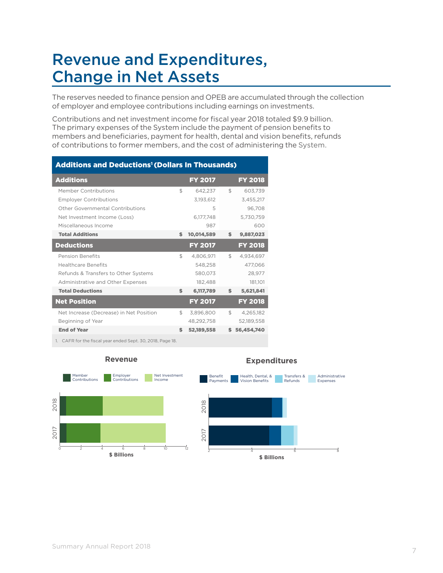### Revenue and Expenditures, Change in Net Assets

The reserves needed to finance pension and OPEB are accumulated through the collection of employer and employee contributions including earnings on investments.

Contributions and net investment income for fiscal year 2018 totaled \$9.9 billion. The primary expenses of the System include the payment of pension benefits to members and beneficiaries, payment for health, dental and vision benefits, refunds of contributions to former members, and the cost of administering the System.

| <b>Additions and Deductions<sup>1</sup> (Dollars In Thousands)</b> |    |                |                |                |
|--------------------------------------------------------------------|----|----------------|----------------|----------------|
| <b>Additions</b>                                                   |    | <b>FY 2017</b> |                | <b>FY 2018</b> |
| Member Contributions                                               | \$ | 642.237        | $\mathfrak{L}$ | 603.739        |
| <b>Employer Contributions</b>                                      |    | 3.193.612      |                | 3,455,217      |
| Other Governmental Contributions                                   |    | 5              |                | 96.708         |
| Net Investment Income (Loss)                                       |    | 6,177,748      |                | 5.730.759      |
| Miscellaneous Income                                               |    | 987            |                | 600            |
| <b>Total Additions</b>                                             | \$ | 10,014,589     | \$.            | 9,887,023      |
| <b>Deductions</b>                                                  |    | <b>FY 2017</b> |                | <b>FY 2018</b> |
| <b>Pension Benefits</b>                                            | \$ | 4,806,971      | $\mathbb{S}$   | 4,934,697      |
| <b>Healthcare Benefits</b>                                         |    | 548.258        |                | 477,066        |
| Refunds & Transfers to Other Systems                               |    | 580,073        |                | 28,977         |
| Administrative and Other Expenses                                  |    | 182,488        |                | 181,101        |
| <b>Total Deductions</b>                                            | \$ | 6,117,789      | \$             | 5,621,841      |
| <b>Net Position</b>                                                |    | <b>FY 2017</b> |                | <b>FY 2018</b> |
| Net Increase (Decrease) in Net Position                            | \$ | 3.896.800      | \$             | 4.265.182      |
| Beginning of Year                                                  |    | 48.292.758     |                | 52.189.558     |
| <b>End of Year</b>                                                 | \$ | 52,189,558     |                | 56,454,740     |
|                                                                    |    |                |                |                |

1. CAFR for the fiscal year ended Sept. 30, 2018, Page 18.



#### **Revenue**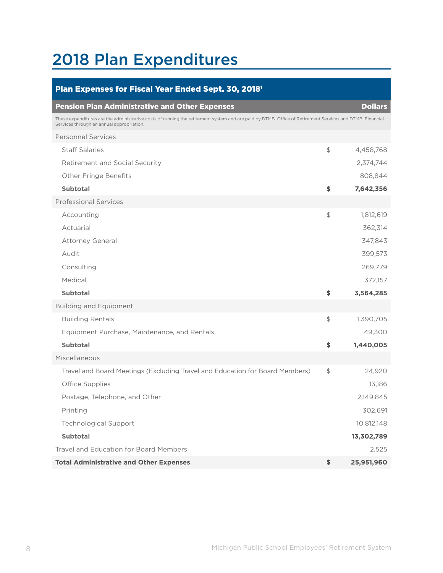## 2018 Plan Expenditures

| Plan Expenses for Fiscal Year Ended Sept. 30, 2018 <sup>1</sup>                                                                                                                                     |                |                |
|-----------------------------------------------------------------------------------------------------------------------------------------------------------------------------------------------------|----------------|----------------|
| <b>Pension Plan Administrative and Other Expenses</b>                                                                                                                                               |                | <b>Dollars</b> |
| These expenditures are the administrative costs of running the retirement system and are paid by DTMB-Office of Retirement Services and DTMB-Financial<br>Services through an annual appropriation. |                |                |
| <b>Personnel Services</b>                                                                                                                                                                           |                |                |
| <b>Staff Salaries</b>                                                                                                                                                                               | \$             | 4,458,768      |
| <b>Retirement and Social Security</b>                                                                                                                                                               |                | 2,374,744      |
| <b>Other Fringe Benefits</b>                                                                                                                                                                        |                | 808,844        |
| <b>Subtotal</b>                                                                                                                                                                                     | \$             | 7,642,356      |
| <b>Professional Services</b>                                                                                                                                                                        |                |                |
| Accounting                                                                                                                                                                                          | $\updownarrow$ | 1,812,619      |
| Actuarial                                                                                                                                                                                           |                | 362,314        |
| <b>Attorney General</b>                                                                                                                                                                             |                | 347,843        |
| Audit                                                                                                                                                                                               |                | 399,573        |
| Consulting                                                                                                                                                                                          |                | 269,779        |
| Medical                                                                                                                                                                                             |                | 372,157        |
| <b>Subtotal</b>                                                                                                                                                                                     | \$             | 3,564,285      |
| <b>Building and Equipment</b>                                                                                                                                                                       |                |                |
| <b>Building Rentals</b>                                                                                                                                                                             | \$             | 1,390,705      |
| Equipment Purchase, Maintenance, and Rentals                                                                                                                                                        |                | 49,300         |
| <b>Subtotal</b>                                                                                                                                                                                     | \$             | 1,440,005      |
| Miscellaneous                                                                                                                                                                                       |                |                |
| Travel and Board Meetings (Excluding Travel and Education for Board Members)                                                                                                                        | \$             | 24,920         |
| Office Supplies                                                                                                                                                                                     |                | 13,186         |
| Postage, Telephone, and Other                                                                                                                                                                       |                | 2,149,845      |
| Printing                                                                                                                                                                                            |                | 302,691        |
| <b>Technological Support</b>                                                                                                                                                                        |                | 10,812,148     |
| <b>Subtotal</b>                                                                                                                                                                                     |                | 13,302,789     |
| <b>Travel and Education for Board Members</b>                                                                                                                                                       |                | 2,525          |
| <b>Total Administrative and Other Expenses</b>                                                                                                                                                      | \$             | 25,951,960     |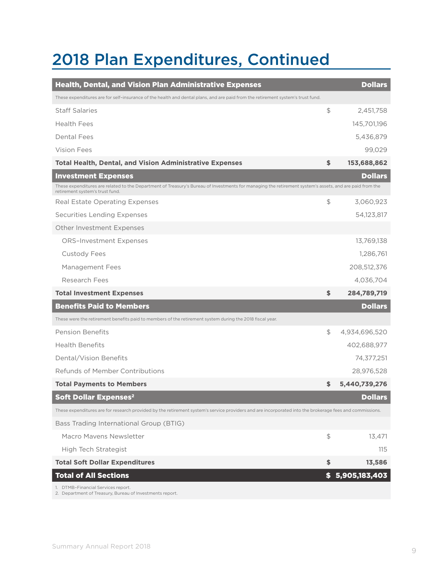### 2018 Plan Expenditures, Continued

| <b>Health, Dental, and Vision Plan Administrative Expenses</b>                                                                                                                             |                                | <b>Dollars</b>  |
|--------------------------------------------------------------------------------------------------------------------------------------------------------------------------------------------|--------------------------------|-----------------|
| These expenditures are for self-insurance of the health and dental plans, and are paid from the retirement system's trust fund.                                                            |                                |                 |
| <b>Staff Salaries</b>                                                                                                                                                                      | $\textcircled{\scriptsize{+}}$ | 2,451,758       |
| <b>Health Fees</b>                                                                                                                                                                         |                                | 145,701,196     |
| Dental Fees                                                                                                                                                                                |                                | 5,436,879       |
| Vision Fees                                                                                                                                                                                |                                | 99,029          |
| <b>Total Health, Dental, and Vision Administrative Expenses</b>                                                                                                                            | \$                             | 153,688,862     |
| <b>Investment Expenses</b>                                                                                                                                                                 |                                | <b>Dollars</b>  |
| These expenditures are related to the Department of Treasury's Bureau of Investments for managing the retirement system's assets, and are paid from the<br>retirement system's trust fund. |                                |                 |
| Real Estate Operating Expenses                                                                                                                                                             | $\textcircled{\scriptsize{+}}$ | 3,060,923       |
| <b>Securities Lending Expenses</b>                                                                                                                                                         |                                | 54,123,817      |
| Other Investment Expenses                                                                                                                                                                  |                                |                 |
| <b>ORS-Investment Expenses</b>                                                                                                                                                             |                                | 13,769,138      |
| <b>Custody Fees</b>                                                                                                                                                                        |                                | 1,286,761       |
| Management Fees                                                                                                                                                                            |                                | 208,512,376     |
| Research Fees                                                                                                                                                                              |                                | 4,036,704       |
| <b>Total Investment Expenses</b>                                                                                                                                                           | \$                             | 284,789,719     |
| <b>Benefits Paid to Members</b>                                                                                                                                                            |                                | <b>Dollars</b>  |
| These were the retirement benefits paid to members of the retirement system during the 2018 fiscal year.                                                                                   |                                |                 |
| <b>Pension Benefits</b>                                                                                                                                                                    | $\mathfrak{P}$                 | 4,934,696,520   |
| <b>Health Benefits</b>                                                                                                                                                                     |                                | 402,688,977     |
| Dental/Vision Benefits                                                                                                                                                                     |                                | 74,377,251      |
| Refunds of Member Contributions                                                                                                                                                            |                                | 28,976,528      |
| <b>Total Payments to Members</b>                                                                                                                                                           | \$                             | 5,440,739,276   |
| <b>Soft Dollar Expenses<sup>2</sup></b>                                                                                                                                                    |                                | <b>Dollars</b>  |
| These expenditures are for research provided by the retirement system's service providers and are incorporated into the brokerage fees and commissions.                                    |                                |                 |
| Bass Trading International Group (BTIG)                                                                                                                                                    |                                |                 |
| Macro Mayens Newsletter                                                                                                                                                                    | \$                             | 13,471          |
| High Tech Strategist                                                                                                                                                                       |                                | 115             |
| <b>Total Soft Dollar Expenditures</b>                                                                                                                                                      | \$                             | 13,586          |
| <b>Total of All Sections</b>                                                                                                                                                               |                                | \$5,905,183,403 |
| 1. DTMB-Financial Services report.<br>2. Department of Treasury, Bureau of Investments report.                                                                                             |                                |                 |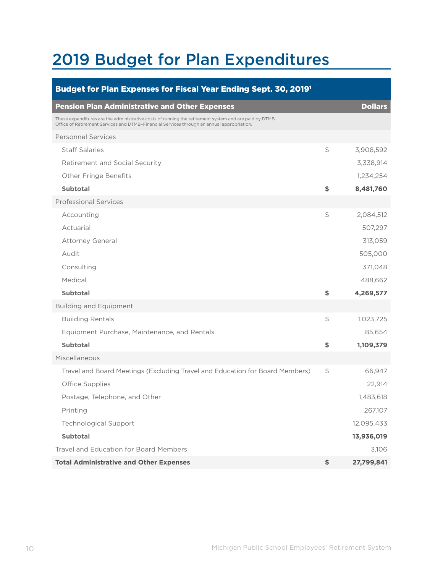## 2019 Budget for Plan Expenditures

| Budget for Plan Expenses for Fiscal Year Ending Sept. 30, 2019 <sup>1</sup>                                                                                                                          |    |                |  |
|------------------------------------------------------------------------------------------------------------------------------------------------------------------------------------------------------|----|----------------|--|
| <b>Pension Plan Administrative and Other Expenses</b>                                                                                                                                                |    | <b>Dollars</b> |  |
| These expenditures are the administrative costs of running the retirement system and are paid by DTMB-<br>Office of Retirement Services and DTMB-Financial Services through an annual appropriation. |    |                |  |
| <b>Personnel Services</b>                                                                                                                                                                            |    |                |  |
| <b>Staff Salaries</b>                                                                                                                                                                                | \$ | 3,908,592      |  |
| Retirement and Social Security                                                                                                                                                                       |    | 3,338,914      |  |
| <b>Other Fringe Benefits</b>                                                                                                                                                                         |    | 1,234,254      |  |
| <b>Subtotal</b>                                                                                                                                                                                      | \$ | 8,481,760      |  |
| <b>Professional Services</b>                                                                                                                                                                         |    |                |  |
| Accounting                                                                                                                                                                                           | \$ | 2,084,512      |  |
| Actuarial                                                                                                                                                                                            |    | 507,297        |  |
| <b>Attorney General</b>                                                                                                                                                                              |    | 313,059        |  |
| Audit                                                                                                                                                                                                |    | 505,000        |  |
| Consulting                                                                                                                                                                                           |    | 371,048        |  |
| Medical                                                                                                                                                                                              |    | 488,662        |  |
| <b>Subtotal</b>                                                                                                                                                                                      | \$ | 4,269,577      |  |
| <b>Building and Equipment</b>                                                                                                                                                                        |    |                |  |
| <b>Building Rentals</b>                                                                                                                                                                              | \$ | 1,023,725      |  |
| Equipment Purchase, Maintenance, and Rentals                                                                                                                                                         |    | 85,654         |  |
| <b>Subtotal</b>                                                                                                                                                                                      | \$ | 1,109,379      |  |
| Miscellaneous                                                                                                                                                                                        |    |                |  |
| Travel and Board Meetings (Excluding Travel and Education for Board Members)                                                                                                                         | \$ | 66,947         |  |
| Office Supplies                                                                                                                                                                                      |    | 22,914         |  |
| Postage, Telephone, and Other                                                                                                                                                                        |    | 1,483,618      |  |
| Printing                                                                                                                                                                                             |    | 267,107        |  |
| <b>Technological Support</b>                                                                                                                                                                         |    | 12,095,433     |  |
| <b>Subtotal</b>                                                                                                                                                                                      |    | 13,936,019     |  |
| Travel and Education for Board Members                                                                                                                                                               |    | 3,106          |  |
| <b>Total Administrative and Other Expenses</b>                                                                                                                                                       | \$ | 27,799,841     |  |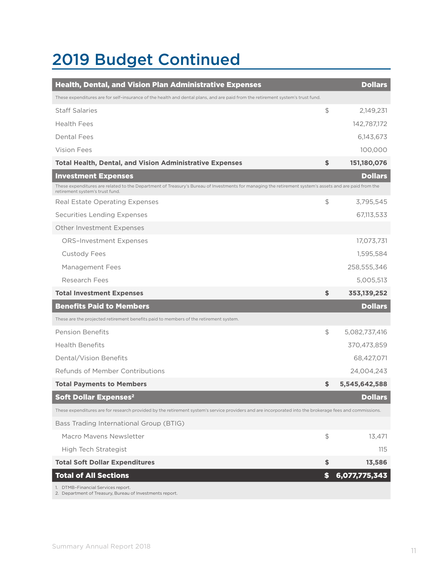### 2019 Budget Continued

| <b>Health, Dental, and Vision Plan Administrative Expenses</b>                                                                                                                            |                | <b>Dollars</b> |
|-------------------------------------------------------------------------------------------------------------------------------------------------------------------------------------------|----------------|----------------|
| These expenditures are for self-insurance of the health and dental plans, and are paid from the retirement system's trust fund.                                                           |                |                |
| <b>Staff Salaries</b>                                                                                                                                                                     | \$             | 2,149,231      |
| <b>Health Fees</b>                                                                                                                                                                        |                | 142,787,172    |
| Dental Fees                                                                                                                                                                               |                | 6,143,673      |
| Vision Fees                                                                                                                                                                               |                | 100,000        |
| <b>Total Health, Dental, and Vision Administrative Expenses</b>                                                                                                                           | \$             | 151,180,076    |
| <b>Investment Expenses</b>                                                                                                                                                                |                | <b>Dollars</b> |
| These expenditures are related to the Department of Treasury's Bureau of Investments for managing the retirement system's assets and are paid from the<br>retirement system's trust fund. |                |                |
| Real Estate Operating Expenses                                                                                                                                                            | \$             | 3,795,545      |
| <b>Securities Lending Expenses</b>                                                                                                                                                        |                | 67,113,533     |
| Other Investment Expenses                                                                                                                                                                 |                |                |
| <b>ORS-Investment Expenses</b>                                                                                                                                                            |                | 17,073,731     |
| <b>Custody Fees</b>                                                                                                                                                                       |                | 1,595,584      |
| Management Fees                                                                                                                                                                           |                | 258,555,346    |
| Research Fees                                                                                                                                                                             |                | 5,005,513      |
| <b>Total Investment Expenses</b>                                                                                                                                                          | \$             | 353, 139, 252  |
| <b>Benefits Paid to Members</b>                                                                                                                                                           |                | <b>Dollars</b> |
| These are the projected retirement benefits paid to members of the retirement system.                                                                                                     |                |                |
| <b>Pension Benefits</b>                                                                                                                                                                   | $\mathfrak{L}$ | 5,082,737,416  |
| <b>Health Benefits</b>                                                                                                                                                                    |                | 370,473,859    |
| Dental/Vision Benefits                                                                                                                                                                    |                | 68,427,071     |
| Refunds of Member Contributions                                                                                                                                                           |                | 24.004.243     |
| <b>Total Payments to Members</b>                                                                                                                                                          | \$             | 5,545,642,588  |
| <b>Soft Dollar Expenses<sup>2</sup></b>                                                                                                                                                   |                | <b>Dollars</b> |
| These expenditures are for research provided by the retirement system's service providers and are incorporated into the brokerage fees and commissions.                                   |                |                |
| Bass Trading International Group (BTIG)                                                                                                                                                   |                |                |
| Macro Mayens Newsletter                                                                                                                                                                   | \$             | 13,471         |
| High Tech Strategist                                                                                                                                                                      |                | 115            |
| <b>Total Soft Dollar Expenditures</b>                                                                                                                                                     | \$             | 13,586         |
| <b>Total of All Sections</b>                                                                                                                                                              | \$             | 6,077,775,343  |
| 1. DTMB-Financial Services report.<br>2. Department of Treasury, Bureau of Investments report.                                                                                            |                |                |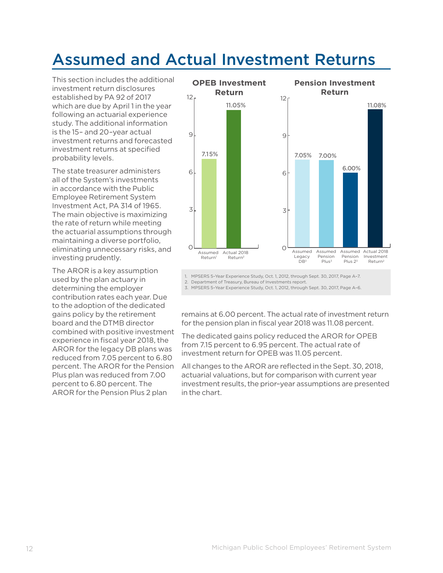### Assumed and Actual Investment Returns

This section includes the additional investment return disclosures established by PA 92 of 2017 which are due by April 1 in the year following an actuarial experience study. The additional information is the 15– and 20–year actual investment returns and forecasted investment returns at specified probability levels.

The state treasurer administers all of the System's investments in accordance with the Public Employee Retirement System Investment Act, PA 314 of 1965. The main objective is maximizing the rate of return while meeting the actuarial assumptions through maintaining a diverse portfolio, eliminating unnecessary risks, and investing prudently.

The AROR is a key assumption used by the plan actuary in determining the employer contribution rates each year. Due to the adoption of the dedicated gains policy by the retirement board and the DTMB director combined with positive investment experience in fiscal year 2018, the AROR for the legacy DB plans was reduced from 7.05 percent to 6.80 percent. The AROR for the Pension Plus plan was reduced from 7.00 percent to 6.80 percent. The AROR for the Pension Plus 2 plan



1. MPSERS 5–Year Experience Study, Oct. 1, 2012, through Sept. 30, 2017, Page A–7.

2. Department of Treasury, Bureau of Investments report.

3. MPSERS 5–Year Experience Study, Oct. 1, 2012, through Sept. 30, 2017, Page A–6.

remains at 6.00 percent. The actual rate of investment return for the pension plan in fiscal year 2018 was 11.08 percent.

The dedicated gains policy reduced the AROR for OPEB from 7.15 percent to 6.95 percent. The actual rate of investment return for OPEB was 11.05 percent.

All changes to the AROR are reflected in the Sept. 30, 2018, actuarial valuations, but for comparison with current year investment results, the prior–year assumptions are presented in the chart.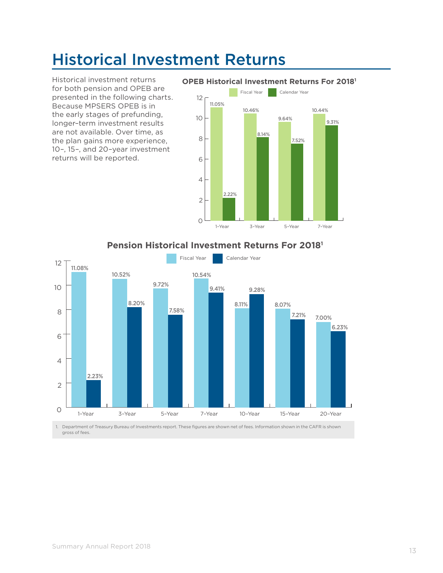### Historical Investment Returns

Historical investment returns for both pension and OPEB are presented in the following charts. Because MPSERS OPEB is in the early stages of prefunding, longer–term investment results are not available. Over time, as the plan gains more experience, 10–, 15–, and 20–year investment returns will be reported.



### **Pension Historical Investment Returns For 20181**

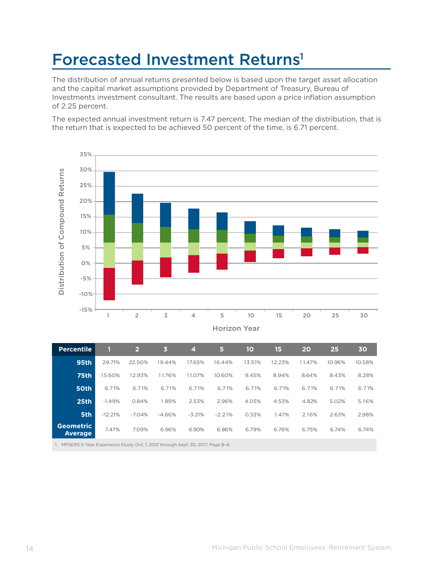### Forecasted Investment Returns<sup>1</sup>

The distribution of annual returns presented below is based upon the target asset allocation and the capital market assumptions provided by Department of Treasury, Bureau of Investments investment consultant. The results are based upon a price inflation assumption of 2.25 percent.

The expected annual investment return is 7.47 percent. The median of the distribution, that is the return that is expected to be achieved 50 percent of the time, is 6.71 percent.



Horizon Year

| <b>Percentile</b>            |           | $\overline{2}$ | 3        | $\boldsymbol{4}$ | 5        | 10     | 15     | 20     | 25     | 30     |
|------------------------------|-----------|----------------|----------|------------------|----------|--------|--------|--------|--------|--------|
| <b>95th</b>                  | 29.71%    | 22.50%         | 19.44%   | 17.65%           | 16.44%   | 13.51% | 12.23% | 11.47% | 10.96% | 10.58% |
| <b>75th</b>                  | 15.60%    | 12.93%         | 11.76%   | 11.07%           | 10.60%   | 9.45%  | 8.94%  | 8.64%  | 8.43%  | 8.28%  |
| 50th                         | 6.71%     | 6.71%          | 6.71%    | 6.71%            | 6.71%    | 6.71%  | 6.71%  | 6.71%  | 6.71%  | 6.71%  |
| 25 <sub>th</sub>             | $-1.49%$  | 0.84%          | 1.89%    | 2.53%            | 2.96%    | 4.05%  | 4.53%  | 4.82%  | 5.02%  | 5.16%  |
| 5th                          | $-12.21%$ | $-7.04%$       | $-4.66%$ | $-3.21%$         | $-2.21%$ | 0.33%  | 1.47%  | 2.16%  | 2.63%  | 2.98%  |
| <b>Geometric</b><br>Average, | 7.47%     | 7.09%          | 6.96%    | 6.90%            | 6.86%    | 6.79%  | 6.76%  | 6.75%  | 6.74%  | 6.74%  |
|                              |           |                |          |                  |          |        |        |        |        |        |

1. MPSERS 5–Year Experience Study, Oct. 1, 2012 through Sept. 30, 2017, Page B–6.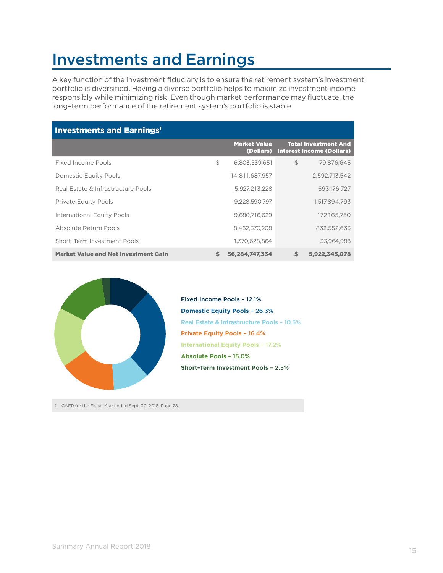### Investments and Earnings

A key function of the investment fiduciary is to ensure the retirement system's investment portfolio is diversified. Having a diverse portfolio helps to maximize investment income responsibly while minimizing risk. Even though market performance may fluctuate, the long–term performance of the retirement system's portfolio is stable.

| <b>Investments and Earnings<sup>1</sup></b> |    |                                  |                                                                 |
|---------------------------------------------|----|----------------------------------|-----------------------------------------------------------------|
|                                             |    | <b>Market Value</b><br>(Dollars) | <b>Total Investment And</b><br><b>Interest Income (Dollars)</b> |
| Fixed Income Pools                          | \$ | 6,803,539,651                    | $\mathfrak{L}$<br>79.876.645                                    |
| Domestic Equity Pools                       |    | 14.811.687.957                   | 2.592.713.542                                                   |
| Real Estate & Infrastructure Pools          |    | 5,927,213,228                    | 693,176,727                                                     |
| <b>Private Equity Pools</b>                 |    | 9,228,590,797                    | 1,517,894,793                                                   |
| <b>International Equity Pools</b>           |    | 9,680,716,629                    | 172,165,750                                                     |
| Absolute Return Pools                       |    | 8,462,370,208                    | 832,552,633                                                     |
| Short-Term Investment Pools                 |    | 1,370,628,864                    | 33,964,988                                                      |
| <b>Market Value and Net Investment Gain</b> | S  | 56,284,747,334                   | \$<br>5,922,345,078                                             |



**Domestic Equity Pools** – 26.3% **Private Equity Pools** – 16.4% **International Equity Pools** – 17.2% **Real Estate & Infrastructure Pools** – 10.5% **Absolute Pools** – 15.0% **Short–Term Investment Pools** – 2.5% **Fixed Income Pools** – 12.1%

1. CAFR for the Fiscal Year ended Sept. 30, 2018, Page 78.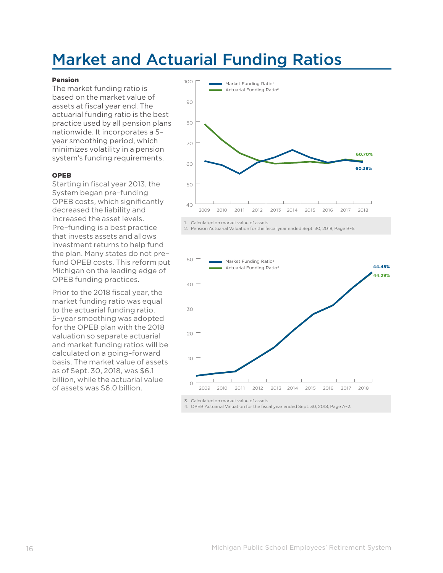### Market and Actuarial Funding Ratios

#### Pension

The market funding ratio is based on the market value of assets at fiscal year end. The actuarial funding ratio is the best practice used by all pension plans nationwide. It incorporates a 5– year smoothing period, which minimizes volatility in a pension system's funding requirements.

#### OPEB

Starting in fiscal year 2013, the System began pre–funding OPEB costs, which significantly decreased the liability and increased the asset levels. Pre–funding is a best practice that invests assets and allows investment returns to help fund the plan. Many states do not pre– fund OPEB costs. This reform put Michigan on the leading edge of OPEB funding practices.

Prior to the 2018 fiscal year, the market funding ratio was equal to the actuarial funding ratio. 5–year smoothing was adopted for the OPEB plan with the 2018 valuation so separate actuarial and market funding ratios will be calculated on a going–forward basis. The market value of assets as of Sept. 30, 2018, was \$6.1 billion, while the actuarial value of assets was \$6.0 billion.



2. Pension Actuarial Valuation for the fiscal year ended Sept. 30, 2018, Page B–5.



4. OPEB Actuarial Valuation for the fiscal year ended Sept. 30, 2018, Page A–2.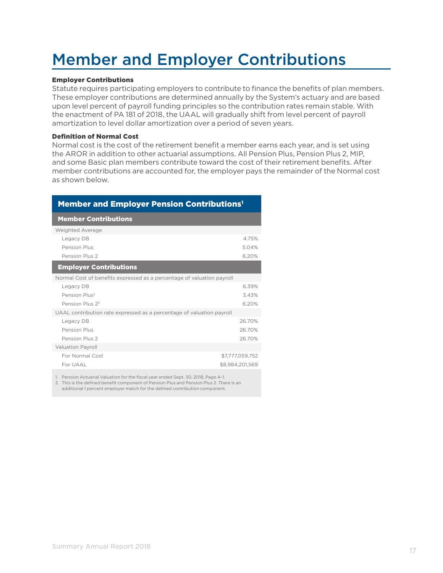### Member and Employer Contributions

#### Employer Contributions

Statute requires participating employers to contribute to finance the benefits of plan members. These employer contributions are determined annually by the System's actuary and are based upon level percent of payroll funding principles so the contribution rates remain stable. With the enactment of PA 181 of 2018, the UAAL will gradually shift from level percent of payroll amortization to level dollar amortization over a period of seven years.

#### Definition of Normal Cost

Normal cost is the cost of the retirement benefit a member earns each year, and is set using the AROR in addition to other actuarial assumptions. All Pension Plus, Pension Plus 2, MIP, and some Basic plan members contribute toward the cost of their retirement benefits. After member contributions are accounted for, the employer pays the remainder of the Normal cost as shown below.

| <b>Member and Employer Pension Contributions<sup>1</sup></b>           |                 |  |  |  |
|------------------------------------------------------------------------|-----------------|--|--|--|
| <b>Member Contributions</b>                                            |                 |  |  |  |
| Weighted Average                                                       |                 |  |  |  |
| Legacy DB                                                              | 4.75%           |  |  |  |
| Pension Plus                                                           | 5.04%           |  |  |  |
| Pension Plus 2                                                         | 6.20%           |  |  |  |
| <b>Employer Contributions</b>                                          |                 |  |  |  |
| Normal Cost of benefits expressed as a percentage of valuation payroll |                 |  |  |  |
| Legacy DB                                                              | 6.39%           |  |  |  |
| Pension Plus <sup>2</sup>                                              | 3.43%           |  |  |  |
| Pension Plus 22                                                        | 6.20%           |  |  |  |
| UAAL contribution rate expressed as a percentage of valuation payroll  |                 |  |  |  |
| Legacy DB                                                              | 26.70%          |  |  |  |
| Pension Plus                                                           | 26.70%          |  |  |  |
| Pension Plus 2                                                         | 26.70%          |  |  |  |
| <b>Valuation Payroll</b>                                               |                 |  |  |  |
| For Normal Cost                                                        | \$7,777,059,752 |  |  |  |
| For UAAL                                                               | \$8.984.201.569 |  |  |  |
|                                                                        |                 |  |  |  |

1. Pension Actuarial Valuation for the fiscal year ended Sept. 30, 2018, Page A–1.

2. This is the defined benefit component of Pension Plus and Pension Plus 2. There is an additional 1 percent employer match for the defined contribution component.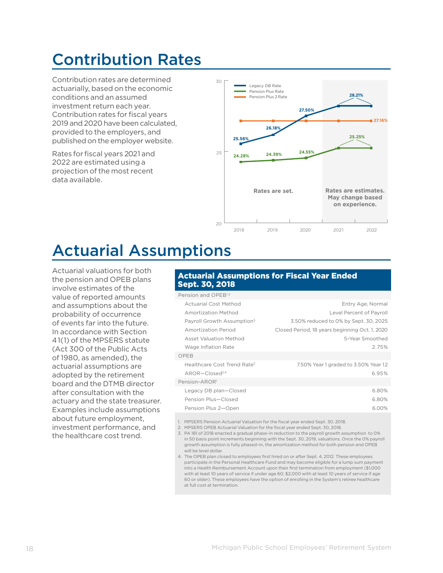### Contribution Rates

Contribution rates are determined actuarially, based on the economic conditions and an assumed investment return each year. Contribution rates for fiscal years 2019 and 2020 have been calculated, provided to the employers, and published on the employer website.

Rates for fiscal years 2021 and 2022 are estimated using a projection of the most recent data available.



### Actuarial Assumptions

Actuarial valuations for both the pension and OPEB plans involve estimates of the value of reported amounts and assumptions about the probability of occurrence of events far into the future. In accordance with Section 41(1) of the MPSERS statute (Act 300 of the Public Acts of 1980, as amended), the actuarial assumptions are adopted by the retirement board and the DTMB director after consultation with the actuary and the state treasurer. Examples include assumptions about future employment, investment performance, and the healthcare cost trend.

#### Actuarial Assumptions for Fiscal Year Ended Sept. 30, 2018

| Pension and OPEB <sup>1,2</sup>         |                                                |
|-----------------------------------------|------------------------------------------------|
| <b>Actuarial Cost Method</b>            | Entry Age, Normal                              |
| Amortization Method                     | Level Percent of Payroll                       |
| Payroll Growth Assumption <sup>3</sup>  | 3.50% reduced to 0% by Sept. 30, 2025          |
| Amortization Period                     | Closed Period, 18 years beginning Oct. 1, 2020 |
| <b>Asset Valuation Method</b>           | 5-Year Smoothed                                |
| Wage Inflation Rate                     | 275%                                           |
| OPFB                                    |                                                |
| Healthcare Cost Trend Rate <sup>2</sup> | 7.50% Year 1 graded to 3.50% Year 12           |
| $AROR$ –Closed <sup>2,4</sup>           | 6.95%                                          |
| Pension-AROR <sup>1</sup>               |                                                |
| Legacy DB plan-Closed                   | 6.80%                                          |
| Pension Plus-Closed                     | 6.80%                                          |
| Pension Plus 2-Open                     | 6.00%                                          |
|                                         |                                                |

1. MPSERS Pension Actuarial Valuation for the fiscal year ended Sept. 30, 2018.

2. MPSERS OPEB Actuarial Valuation for the fiscal year ended Sept. 30, 2018.

3. PA 181 of 2018 enacted a gradual phase–in reduction to the payroll growth assumption to 0% in 50 basis point increments beginning with the Sept. 30, 2019, valuations. Once the 0% payroll growth assumption is fully phased–in, the amortization method for both pension and OPEB will be level dollar.

4. The OPEB plan closed to employees first hired on or after Sept. 4, 2012. These employees participate in the Personal Healthcare Fund and may become eligible for a lump sum payment into a Health Reimbursement Account upon their first termination from employment (\$1,000 with at least 10 years of service if under age 60; \$2,000 with at least 10 years of service if age 60 or older). These employees have the option of enrolling in the System's retiree healthcare at full cost at termination.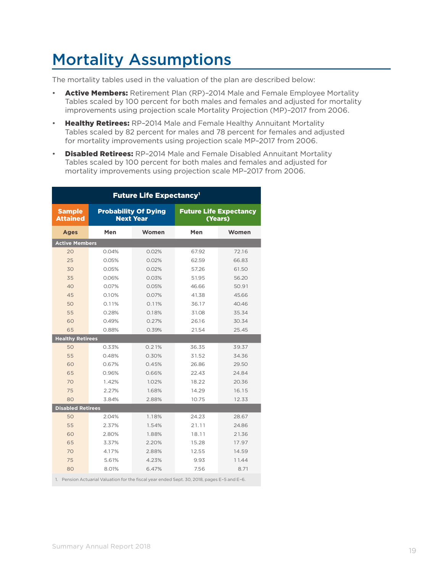### Mortality Assumptions

The mortality tables used in the valuation of the plan are described below:

- Active Members: Retirement Plan (RP)-2014 Male and Female Employee Mortality Tables scaled by 100 percent for both males and females and adjusted for mortality improvements using projection scale Mortality Projection (MP)–2017 from 2006.
- Healthy Retirees: RP-2014 Male and Female Healthy Annuitant Mortality Tables scaled by 82 percent for males and 78 percent for females and adjusted for mortality improvements using projection scale MP–2017 from 2006.
- Disabled Retirees: RP-2014 Male and Female Disabled Annuitant Mortality Tables scaled by 100 percent for both males and females and adjusted for mortality improvements using projection scale MP–2017 from 2006.

| <b>Future Life Expectancy<sup>1</sup></b> |                                                 |       |                                          |       |  |  |  |  |  |
|-------------------------------------------|-------------------------------------------------|-------|------------------------------------------|-------|--|--|--|--|--|
| <b>Sample</b><br><b>Attained</b>          | <b>Probability Of Dying</b><br><b>Next Year</b> |       | <b>Future Life Expectancy</b><br>(Years) |       |  |  |  |  |  |
| <b>Ages</b>                               | Men                                             | Women | Men                                      | Women |  |  |  |  |  |
| <b>Active Members</b>                     |                                                 |       |                                          |       |  |  |  |  |  |
| 20                                        | 0.04%                                           | 0.02% | 67.92                                    | 72.16 |  |  |  |  |  |
| 25                                        | 0.05%                                           | 0.02% | 62.59                                    | 66.83 |  |  |  |  |  |
| 30                                        | 0.05%                                           | 0.02% | 57.26                                    | 61.50 |  |  |  |  |  |
| 35                                        | 0.06%                                           | 0.03% | 51.95                                    | 56.20 |  |  |  |  |  |
| 40                                        | 0.07%                                           | 0.05% | 46.66                                    | 50.91 |  |  |  |  |  |
| 45                                        | 0.10%                                           | 0.07% | 41.38                                    | 45.66 |  |  |  |  |  |
| 50                                        | 0.11%                                           | 0.11% | 36.17                                    | 40.46 |  |  |  |  |  |
| 55                                        | 0.28%                                           | 0.18% | 31.08                                    | 35.34 |  |  |  |  |  |
| 60                                        | 0.49%                                           | 0.27% | 26.16                                    | 30.34 |  |  |  |  |  |
| 65                                        | 0.88%                                           | 0.39% | 21.54                                    | 25.45 |  |  |  |  |  |
| <b>Healthy Retirees</b>                   |                                                 |       |                                          |       |  |  |  |  |  |
| 50                                        | 0.33%                                           | 0.21% | 36.35                                    | 39.37 |  |  |  |  |  |
| 55                                        | 0.48%                                           | 0.30% | 31.52                                    | 34.36 |  |  |  |  |  |
| 60                                        | 0.67%                                           | 0.45% | 26.86                                    | 29.50 |  |  |  |  |  |
| 65                                        | 0.96%                                           | 0.66% | 22.43                                    | 24.84 |  |  |  |  |  |
| 70                                        | 1.42%                                           | 1.02% | 18.22                                    | 20.36 |  |  |  |  |  |
| 75                                        | 2.27%                                           | 1.68% | 14.29                                    | 16.15 |  |  |  |  |  |
| 80                                        | 3.84%                                           | 2.88% | 10.75                                    | 12.33 |  |  |  |  |  |
| <b>Disabled Retirees</b>                  |                                                 |       |                                          |       |  |  |  |  |  |
| 50                                        | 2.04%                                           | 1.18% | 24.23                                    | 28.67 |  |  |  |  |  |
| 55                                        | 2.37%                                           | 1.54% | 21.11                                    | 24.86 |  |  |  |  |  |
| 60                                        | 2.80%                                           | 1.88% | 18.11                                    | 21.36 |  |  |  |  |  |
| 65                                        | 3.37%                                           | 2.20% | 15.28                                    | 17.97 |  |  |  |  |  |
| 70                                        | 4.17%                                           | 2.88% | 12.55                                    | 14.59 |  |  |  |  |  |
| 75                                        | 5.61%                                           | 4.23% | 9.93                                     | 11.44 |  |  |  |  |  |
| 80                                        | 8.01%                                           | 6.47% | 7.56                                     | 8.71  |  |  |  |  |  |

1. Pension Actuarial Valuation for the fiscal year ended Sept. 30, 2018, pages E–5 and E–6.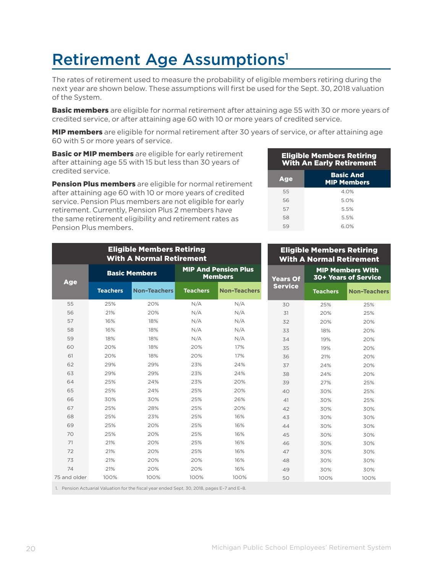### Retirement Age Assumptions<sup>1</sup>

The rates of retirement used to measure the probability of eligible members retiring during the next year are shown below. These assumptions will first be used for the Sept. 30, 2018 valuation of the System.

**Basic members** are eligible for normal retirement after attaining age 55 with 30 or more years of credited service, or after attaining age 60 with 10 or more years of credited service.

**MIP members** are eligible for normal retirement after 30 years of service, or after attaining age 60 with 5 or more years of service.

**Basic or MIP members** are eligible for early retirement after attaining age 55 with 15 but less than 30 years of credited service.

Pension Plus members are eligible for normal retirement after attaining age 60 with 10 or more years of credited service. Pension Plus members are not eligible for early retirement. Currently, Pension Plus 2 members have the same retirement eligibility and retirement rates as Pension Plus members.

| <b>Eligible Members Retiring</b><br><b>With An Early Retirement</b> |                                        |  |  |  |  |  |
|---------------------------------------------------------------------|----------------------------------------|--|--|--|--|--|
| Age                                                                 | <b>Basic And</b><br><b>MIP Members</b> |  |  |  |  |  |
| 55                                                                  | 40%                                    |  |  |  |  |  |
| 56                                                                  | 50%                                    |  |  |  |  |  |
| 57                                                                  | 5.5%                                   |  |  |  |  |  |
| 58                                                                  | 5.5%                                   |  |  |  |  |  |
| 59                                                                  | 6.0%                                   |  |  |  |  |  |

| <b>Eligible Members Retiring</b><br><b>With A Normal Retirement</b>                             |                      |                     |                                               |                     | <b>Eligible Members Retiring</b><br><b>With A Normal Retirement</b> |                                                 |                     |  |
|-------------------------------------------------------------------------------------------------|----------------------|---------------------|-----------------------------------------------|---------------------|---------------------------------------------------------------------|-------------------------------------------------|---------------------|--|
| <b>Age</b>                                                                                      | <b>Basic Members</b> |                     | <b>MIP And Pension Plus</b><br><b>Members</b> |                     | <b>Years Of</b>                                                     | <b>MIP Members With</b><br>30+ Years of Service |                     |  |
|                                                                                                 | <b>Teachers</b>      | <b>Non-Teachers</b> | <b>Teachers</b>                               | <b>Non-Teachers</b> | <b>Service</b>                                                      | <b>Teachers</b>                                 | <b>Non-Teachers</b> |  |
| 55                                                                                              | 25%                  | 20%                 | N/A                                           | N/A                 | 30                                                                  | 25%                                             | 25%                 |  |
| 56                                                                                              | 21%                  | 20%                 | N/A                                           | N/A                 | 31                                                                  | 20%                                             | 25%                 |  |
| 57                                                                                              | 16%                  | 18%                 | N/A                                           | N/A                 | 32                                                                  | 20%                                             | 20%                 |  |
| 58                                                                                              | 16%                  | 18%                 | N/A                                           | N/A                 | 33                                                                  | 18%                                             | 20%                 |  |
| 59                                                                                              | 18%                  | 18%                 | N/A                                           | N/A                 | 34                                                                  | 19%                                             | 20%                 |  |
| 60                                                                                              | 20%                  | 18%                 | 20%                                           | 17%                 | 35                                                                  | 19%                                             | 20%                 |  |
| 61                                                                                              | 20%                  | 18%                 | 20%                                           | 17%                 | 36                                                                  | 21%                                             | 20%                 |  |
| 62                                                                                              | 29%                  | 29%                 | 23%                                           | 24%                 | 37                                                                  | 24%                                             | 20%                 |  |
| 63                                                                                              | 29%                  | 29%                 | 23%                                           | 24%                 | 38                                                                  | 24%                                             | 20%                 |  |
| 64                                                                                              | 25%                  | 24%                 | 23%                                           | 20%                 | 39                                                                  | 27%                                             | 25%                 |  |
| 65                                                                                              | 25%                  | 24%                 | 25%                                           | 20%                 | 40                                                                  | 30%                                             | 25%                 |  |
| 66                                                                                              | 30%                  | 30%                 | 25%                                           | 26%                 | 41                                                                  | 30%                                             | 25%                 |  |
| 67                                                                                              | 25%                  | 28%                 | 25%                                           | 20%                 | 42                                                                  | 30%                                             | 30%                 |  |
| 68                                                                                              | 25%                  | 23%                 | 25%                                           | 16%                 | 43                                                                  | 30%                                             | 30%                 |  |
| 69                                                                                              | 25%                  | 20%                 | 25%                                           | 16%                 | 44                                                                  | 30%                                             | 30%                 |  |
| 70                                                                                              | 25%                  | 20%                 | 25%                                           | 16%                 | 45                                                                  | 30%                                             | 30%                 |  |
| 71                                                                                              | 21%                  | 20%                 | 25%                                           | 16%                 | 46                                                                  | 30%                                             | 30%                 |  |
| 72                                                                                              | 21%                  | 20%                 | 25%                                           | 16%                 | 47                                                                  | 30%                                             | 30%                 |  |
| 73                                                                                              | 21%                  | 20%                 | 20%                                           | 16%                 | 48                                                                  | 30%                                             | 30%                 |  |
| 74                                                                                              | 21%                  | 20%                 | 20%                                           | 16%                 | 49                                                                  | 30%                                             | 30%                 |  |
| 75 and older                                                                                    | 100%                 | 100%                | 100%                                          | 100%                | 50                                                                  | 100%                                            | 100%                |  |
| 1 Depries Actuarial Valuation for the fired was anded Capt 70, 2018, pages E<br>$7$ and $F$ $Q$ |                      |                     |                                               |                     |                                                                     |                                                 |                     |  |

1. Pension Actuarial Valuation for the fiscal year ended Sept. 30, 2018, pages E–7 and E–8.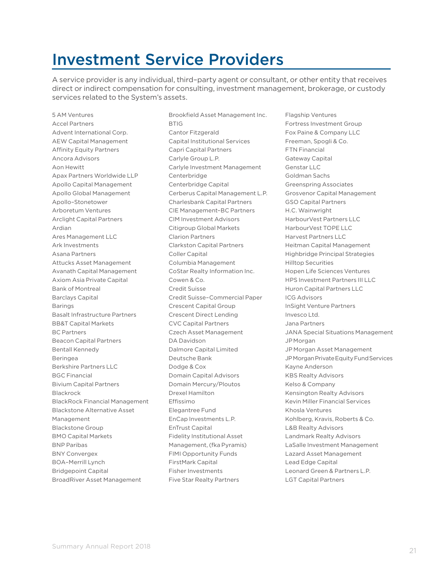### Investment Service Providers

A service provider is any individual, third–party agent or consultant, or other entity that receives direct or indirect compensation for consulting, investment management, brokerage, or custody services related to the System's assets.

5 AM Ventures Accel Partners Advent International Corp. AEW Capital Management Affinity Equity Partners Ancora Advisors Aon Hewitt Apax Partners Worldwide LLP Apollo Capital Management Apollo Global Management Apollo–Stonetower Arboretum Ventures Arclight Capital Partners Ardian Ares Management LLC Ark Investments Asana Partners Attucks Asset Management Avanath Capital Management Axiom Asia Private Capital Bank of Montreal Barclays Capital Barings Basalt Infrastructure Partners BB&T Capital Markets BC Partners Beacon Capital Partners Bentall Kennedy Beringea Berkshire Partners LLC BGC Financial Bivium Capital Partners Blackrock BlackRock Financial Management Blackstone Alternative Asset Management Blackstone Group BMO Capital Markets BNP Paribas BNY Convergex BOA–Merrill Lynch Bridgepoint Capital BroadRiver Asset Management

Brookfield Asset Management Inc. BTIG Cantor Fitzgerald Capital Institutional Services Capri Capital Partners Carlyle Group L.P. Carlyle Investment Management Centerbridge Centerbridge Capital Cerberus Capital Management L.P. Charlesbank Capital Partners CIE Management–BC Partners CIM Investment Advisors Citigroup Global Markets Clarion Partners Clarkston Capital Partners Coller Capital Columbia Management CoStar Realty Information Inc. Cowen & Co. Credit Suisse Credit Suisse–Commercial Paper Crescent Capital Group Crescent Direct Lending CVC Capital Partners Czech Asset Management DA Davidson Dalmore Capital Limited Deutsche Bank Dodge & Cox Domain Capital Advisors Domain Mercury/Ploutos Drexel Hamilton Effissimo Elegantree Fund EnCap Investments L.P. EnTrust Capital Fidelity Institutional Asset Management, (fka Pyramis) FIMI Opportunity Funds FirstMark Capital Fisher Investments Five Star Realty Partners

Flagship Ventures Fortress Investment Group Fox Paine & Company LLC Freeman, Spogli & Co. FTN Financial Gateway Capital Genstar LLC Goldman Sachs Greenspring Associates Grosvenor Capital Management GSO Capital Partners H.C. Wainwright HarbourVest Partners LLC HarbourVest TOPE LLC Harvest Partners LLC Heitman Capital Management Highbridge Principal Strategies Hilltop Securities Hopen Life Sciences Ventures HPS Investment Partners III LLC Huron Capital Partners LLC ICG Advisors InSight Venture Partners Invesco Ltd. Jana Partners JANA Special Situations Management JPMorgan JP Morgan Asset Management JP Morgan Private Equity Fund Services Kayne Anderson KBS Realty Advisors Kelso & Company Kensington Realty Advisors Kevin Miller Financial Services Khosla Ventures Kohlberg, Kravis, Roberts & Co. L&B Realty Advisors Landmark Realty Advisors LaSalle Investment Management Lazard Asset Management Lead Edge Capital Leonard Green & Partners L.P. LGT Capital Partners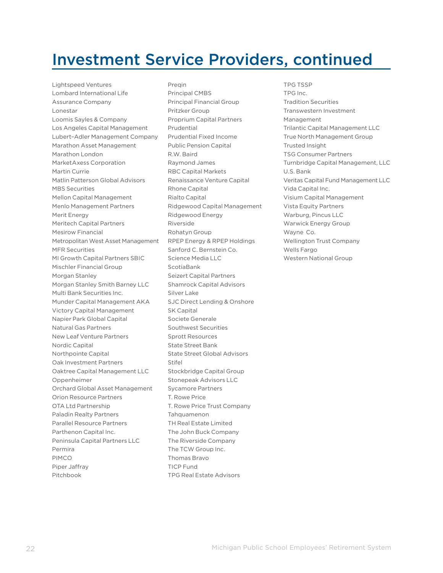### Investment Service Providers, continued

Lightspeed Ventures Lombard International Life Assurance Company Lonestar Loomis Sayles & Company Los Angeles Capital Management Lubert–Adler Management Company Marathon Asset Management Marathon London MarketAxess Corporation Martin Currie Matlin Patterson Global Advisors MBS Securities Mellon Capital Management Menlo Management Partners Merit Energy Meritech Capital Partners Mesirow Financial Metropolitan West Asset Management MFR Securities MI Growth Capital Partners SBIC Mischler Financial Group Morgan Stanley Morgan Stanley Smith Barney LLC Multi Bank Securities Inc. Munder Capital Management AKA Victory Capital Management Napier Park Global Capital Natural Gas Partners New Leaf Venture Partners Nordic Capital Northpointe Capital Oak Investment Partners Oaktree Capital Management LLC Oppenheimer Orchard Global Asset Management Orion Resource Partners OTA Ltd Partnership Paladin Realty Partners Parallel Resource Partners Parthenon Capital Inc. Peninsula Capital Partners LLC Permira PIMCO Piper Jaffray Pitchbook

Preqin Principal CMBS Principal Financial Group Pritzker Group Proprium Capital Partners Prudential Prudential Fixed Income Public Pension Capital R.W. Baird Raymond James RBC Capital Markets Renaissance Venture Capital Rhone Capital Rialto Capital Ridgewood Capital Management Ridgewood Energy Riverside Rohatyn Group RPEP Energy & RPEP Holdings Sanford C. Bernstein Co. Science Media LLC ScotiaBank Seizert Capital Partners Shamrock Capital Advisors Silver Lake SJC Direct Lending & Onshore SK Capital Societe Generale Southwest Securities Sprott Resources State Street Bank State Street Global Advisors Stifel Stockbridge Capital Group Stonepeak Advisors LLC Sycamore Partners T. Rowe Price T. Rowe Price Trust Company Tahquamenon TH Real Estate Limited The John Buck Company The Riverside Company The TCW Group Inc. Thomas Bravo TICP Fund TPG Real Estate Advisors

TPG TSSP TPG Inc. Tradition Securities Transwestern Investment Management Trilantic Capital Management LLC True North Management Group Trusted Insight TSG Consumer Partners Turnbridge Capital Management, LLC U.S. Bank Veritas Capital Fund Management LLC Vida Capital Inc. Visium Capital Management Vista Equity Partners Warburg, Pincus LLC Warwick Energy Group Wayne Co. Wellington Trust Company Wells Fargo Western National Group